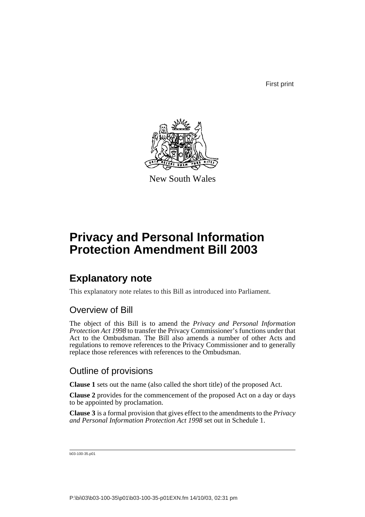First print



New South Wales

# **Privacy and Personal Information Protection Amendment Bill 2003**

## **Explanatory note**

This explanatory note relates to this Bill as introduced into Parliament.

### Overview of Bill

The object of this Bill is to amend the *Privacy and Personal Information Protection Act 1998* to transfer the Privacy Commissioner's functions under that Act to the Ombudsman. The Bill also amends a number of other Acts and regulations to remove references to the Privacy Commissioner and to generally replace those references with references to the Ombudsman.

#### Outline of provisions

**Clause 1** sets out the name (also called the short title) of the proposed Act.

**Clause 2** provides for the commencement of the proposed Act on a day or days to be appointed by proclamation.

**Clause 3** is a formal provision that gives effect to the amendments to the *Privacy and Personal Information Protection Act 1998* set out in Schedule 1.

b03-100-35.p01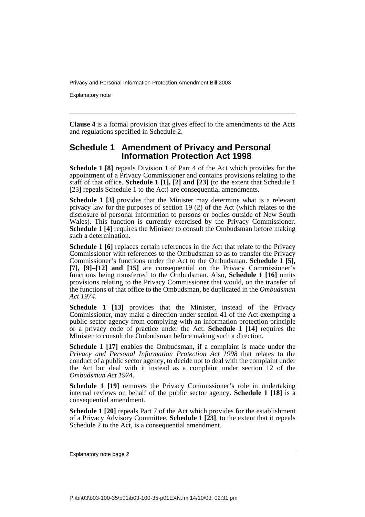Explanatory note

**Clause 4** is a formal provision that gives effect to the amendments to the Acts and regulations specified in Schedule 2.

#### **Schedule 1 Amendment of Privacy and Personal Information Protection Act 1998**

**Schedule 1 [8]** repeals Division 1 of Part 4 of the Act which provides for the appointment of a Privacy Commissioner and contains provisions relating to the staff of that office. **Schedule 1 [1], [2] and [23]** (to the extent that Schedule 1 [23] repeals Schedule 1 to the Act) are consequential amendments.

**Schedule 1 [3]** provides that the Minister may determine what is a relevant privacy law for the purposes of section 19 (2) of the Act (which relates to the disclosure of personal information to persons or bodies outside of New South Wales). This function is currently exercised by the Privacy Commissioner. **Schedule 1 [4]** requires the Minister to consult the Ombudsman before making such a determination.

**Schedule 1 [6]** replaces certain references in the Act that relate to the Privacy Commissioner with references to the Ombudsman so as to transfer the Privacy Commissioner's functions under the Act to the Ombudsman. **Schedule 1 [5], [7], [9]–[12] and [15]** are consequential on the Privacy Commissioner's functions being transferred to the Ombudsman. Also, **Schedule 1 [16]** omits provisions relating to the Privacy Commissioner that would, on the transfer of the functions of that office to the Ombudsman, be duplicated in the *Ombudsman Act 1974*.

**Schedule 1 [13]** provides that the Minister, instead of the Privacy Commissioner, may make a direction under section 41 of the Act exempting a public sector agency from complying with an information protection principle or a privacy code of practice under the Act. **Schedule 1 [14]** requires the Minister to consult the Ombudsman before making such a direction.

**Schedule 1 [17]** enables the Ombudsman, if a complaint is made under the *Privacy and Personal Information Protection Act 1998* that relates to the conduct of a public sector agency, to decide not to deal with the complaint under the Act but deal with it instead as a complaint under section 12 of the *Ombudsman Act 1974*.

**Schedule 1 [19]** removes the Privacy Commissioner's role in undertaking internal reviews on behalf of the public sector agency. **Schedule 1 [18]** is a consequential amendment.

**Schedule 1 [20]** repeals Part 7 of the Act which provides for the establishment of a Privacy Advisory Committee. **Schedule 1 [23]**, to the extent that it repeals Schedule 2 to the Act, is a consequential amendment.

Explanatory note page 2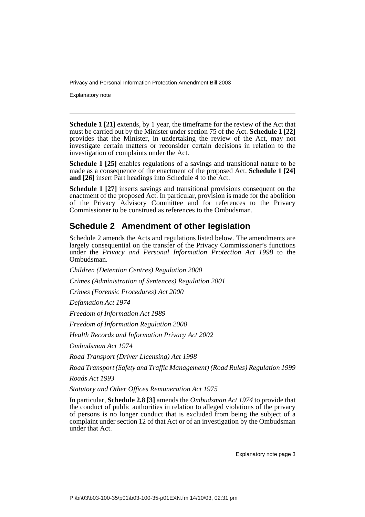Explanatory note

**Schedule 1 [21]** extends, by 1 year, the timeframe for the review of the Act that must be carried out by the Minister under section 75 of the Act. **Schedule 1 [22]** provides that the Minister, in undertaking the review of the Act, may not investigate certain matters or reconsider certain decisions in relation to the investigation of complaints under the Act.

**Schedule 1 [25]** enables regulations of a savings and transitional nature to be made as a consequence of the enactment of the proposed Act. **Schedule 1 [24] and [26]** insert Part headings into Schedule 4 to the Act.

**Schedule 1 [27]** inserts savings and transitional provisions consequent on the enactment of the proposed Act. In particular, provision is made for the abolition of the Privacy Advisory Committee and for references to the Privacy Commissioner to be construed as references to the Ombudsman.

#### **Schedule 2 Amendment of other legislation**

Schedule 2 amends the Acts and regulations listed below. The amendments are largely consequential on the transfer of the Privacy Commissioner's functions under the *Privacy and Personal Information Protection Act 1998* to the Ombudsman.

*Children (Detention Centres) Regulation 2000*

*Crimes (Administration of Sentences) Regulation 2001*

*Crimes (Forensic Procedures) Act 2000*

*Defamation Act 1974*

*Freedom of Information Act 1989*

*Freedom of Information Regulation 2000*

*Health Records and Information Privacy Act 2002*

*Ombudsman Act 1974*

*Road Transport (Driver Licensing) Act 1998*

*Road Transport (Safety and Traffic Management) (Road Rules) Regulation 1999*

*Roads Act 1993*

*Statutory and Other Offices Remuneration Act 1975*

In particular, **Schedule 2.8 [3]** amends the *Ombudsman Act 1974* to provide that the conduct of public authorities in relation to alleged violations of the privacy of persons is no longer conduct that is excluded from being the subject of a complaint under section 12 of that Act or of an investigation by the Ombudsman under that Act.

Explanatory note page 3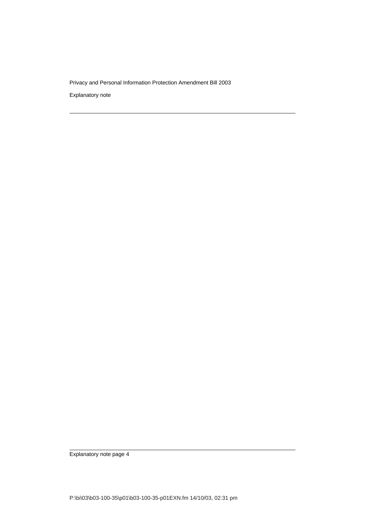Explanatory note

Explanatory note page 4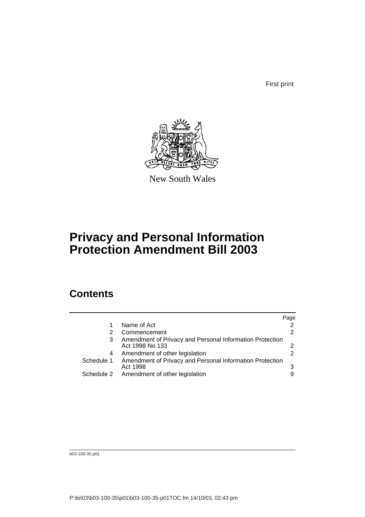First print



New South Wales

# **Privacy and Personal Information Protection Amendment Bill 2003**

## **Contents**

|            |                                                                             | Page |
|------------|-----------------------------------------------------------------------------|------|
|            | Name of Act                                                                 |      |
| 2          | Commencement                                                                | 2    |
| 3          | Amendment of Privacy and Personal Information Protection<br>Act 1998 No 133 |      |
| 4          | Amendment of other legislation                                              |      |
| Schedule 1 | Amendment of Privacy and Personal Information Protection<br>Act 1998        |      |
| Schedule 2 | Amendment of other legislation                                              | 9    |

b03-100-35.p01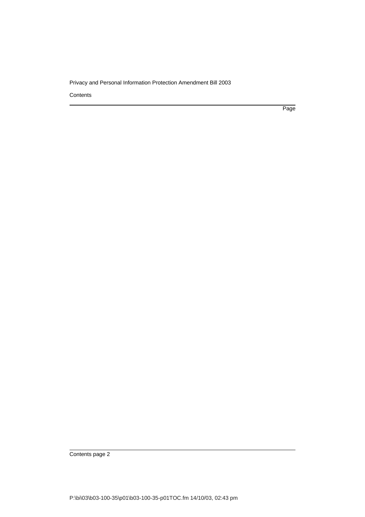**Contents** 

Page

Contents page 2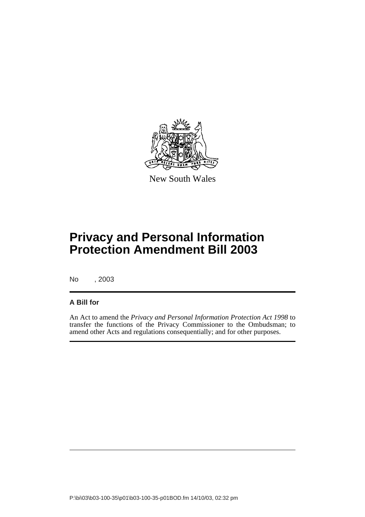

New South Wales

# **Privacy and Personal Information Protection Amendment Bill 2003**

No , 2003

#### **A Bill for**

An Act to amend the *Privacy and Personal Information Protection Act 1998* to transfer the functions of the Privacy Commissioner to the Ombudsman; to amend other Acts and regulations consequentially; and for other purposes.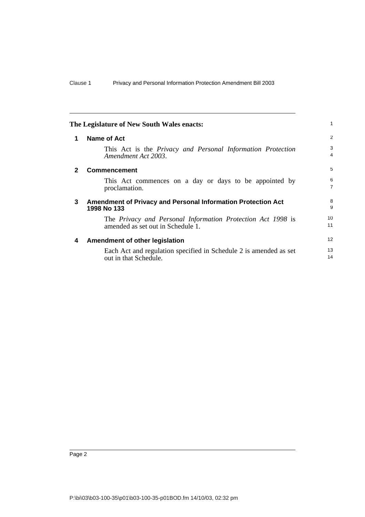<span id="page-7-3"></span><span id="page-7-2"></span><span id="page-7-1"></span><span id="page-7-0"></span>

| The Legislature of New South Wales enacts: |                                                                                                  |                     |
|--------------------------------------------|--------------------------------------------------------------------------------------------------|---------------------|
| 1                                          | <b>Name of Act</b>                                                                               | 2                   |
|                                            | This Act is the Privacy and Personal Information Protection<br>Amendment Act 2003.               | 3<br>4              |
| $\mathbf{2}$                               | <b>Commencement</b>                                                                              | 5                   |
|                                            | This Act commences on a day or days to be appointed by<br>proclamation.                          | 6<br>$\overline{7}$ |
| 3                                          | Amendment of Privacy and Personal Information Protection Act<br>1998 No 133                      | 8<br>9              |
|                                            | The Privacy and Personal Information Protection Act 1998 is<br>amended as set out in Schedule 1. | 10<br>11            |
| 4                                          | Amendment of other legislation                                                                   | 12                  |
|                                            | Each Act and regulation specified in Schedule 2 is amended as set<br>out in that Schedule.       | 13<br>14            |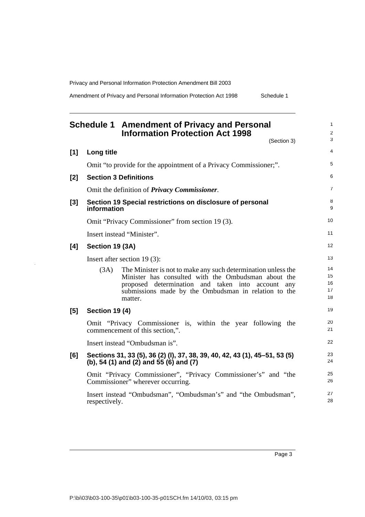Amendment of Privacy and Personal Information Protection Act 1998 Schedule 1

<span id="page-8-0"></span>

| <b>Schedule 1 Amendment of Privacy and Personal</b><br><b>Information Protection Act 1998</b> |                       |                                                                                                                                                                                                                                              | $\mathbf{1}$<br>$\overline{2}$ |
|-----------------------------------------------------------------------------------------------|-----------------------|----------------------------------------------------------------------------------------------------------------------------------------------------------------------------------------------------------------------------------------------|--------------------------------|
|                                                                                               |                       | (Section 3)                                                                                                                                                                                                                                  | 3                              |
| $[1]$                                                                                         | Long title            |                                                                                                                                                                                                                                              | 4                              |
|                                                                                               |                       | Omit "to provide for the appointment of a Privacy Commissioner;".                                                                                                                                                                            | 5                              |
| [2]                                                                                           |                       | <b>Section 3 Definitions</b>                                                                                                                                                                                                                 | 6                              |
|                                                                                               |                       | Omit the definition of <i>Privacy Commissioner</i> .                                                                                                                                                                                         | $\overline{7}$                 |
| [3]                                                                                           | information           | Section 19 Special restrictions on disclosure of personal                                                                                                                                                                                    | 8<br>9                         |
|                                                                                               |                       | Omit "Privacy Commissioner" from section 19 (3).                                                                                                                                                                                             | 10                             |
|                                                                                               |                       | Insert instead "Minister".                                                                                                                                                                                                                   | 11                             |
| [4]                                                                                           | Section 19 (3A)       |                                                                                                                                                                                                                                              | 12                             |
|                                                                                               |                       | Insert after section $19(3)$ :                                                                                                                                                                                                               | 13                             |
|                                                                                               | (3A)                  | The Minister is not to make any such determination unless the<br>Minister has consulted with the Ombudsman about the<br>proposed determination and taken into account any<br>submissions made by the Ombudsman in relation to the<br>matter. | 14<br>15<br>16<br>17<br>18     |
| [5]                                                                                           | <b>Section 19 (4)</b> |                                                                                                                                                                                                                                              | 19                             |
|                                                                                               |                       | Omit "Privacy Commissioner is, within the year following the<br>commencement of this section,".                                                                                                                                              | 20<br>21                       |
|                                                                                               |                       | Insert instead "Ombudsman is".                                                                                                                                                                                                               | 22                             |
| [6]                                                                                           |                       | Sections 31, 33 (5), 36 (2) (1), 37, 38, 39, 40, 42, 43 (1), 45–51, 53 (5)<br>(b), 54 (1) and (2) and 55 (6) and (7)                                                                                                                         | 23<br>24                       |
|                                                                                               |                       | Omit "Privacy Commissioner", "Privacy Commissioner's" and "the<br>Commissioner" wherever occurring.                                                                                                                                          | 25<br>26                       |
|                                                                                               | respectively.         | Insert instead "Ombudsman", "Ombudsman's" and "the Ombudsman",                                                                                                                                                                               | 27<br>28                       |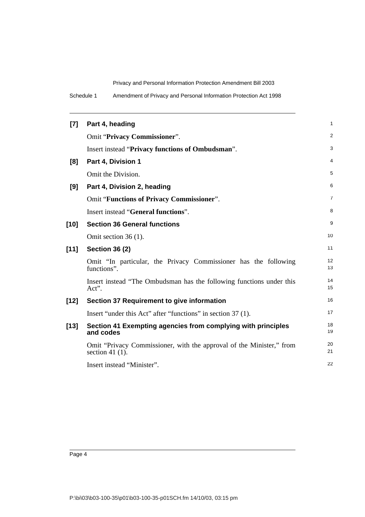Schedule 1 Amendment of Privacy and Personal Information Protection Act 1998

| $[7]$  | Part 4, heading                                                                            | 1              |
|--------|--------------------------------------------------------------------------------------------|----------------|
|        | Omit "Privacy Commissioner".                                                               | $\overline{2}$ |
|        | Insert instead "Privacy functions of Ombudsman".                                           | 3              |
| [8]    | Part 4, Division 1                                                                         | 4              |
|        | Omit the Division.                                                                         | 5              |
| [9]    | Part 4, Division 2, heading                                                                | 6              |
|        | <b>Omit "Functions of Privacy Commissioner".</b>                                           | 7              |
|        | Insert instead "General functions".                                                        | 8              |
| $[10]$ | <b>Section 36 General functions</b>                                                        | 9              |
|        | Omit section 36 (1).                                                                       | 10             |
| $[11]$ | <b>Section 36 (2)</b>                                                                      | 11             |
|        | Omit "In particular, the Privacy Commissioner has the following<br>functions".             | 12<br>13       |
|        | Insert instead "The Ombudsman has the following functions under this<br>Act".              | 14<br>15       |
| $[12]$ | Section 37 Requirement to give information                                                 | 16             |
|        | Insert "under this Act" after "functions" in section 37 (1).                               | 17             |
| $[13]$ | Section 41 Exempting agencies from complying with principles<br>and codes                  | 18<br>19       |
|        | Omit "Privacy Commissioner, with the approval of the Minister," from<br>section 41 $(1)$ . | 20<br>21       |
|        | Insert instead "Minister".                                                                 | 22             |
|        |                                                                                            |                |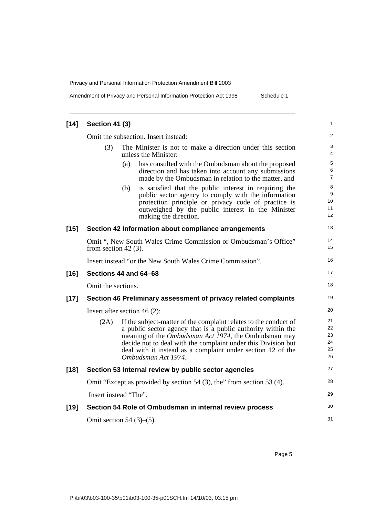Amendment of Privacy and Personal Information Protection Act 1998 Schedule 1

| $[14]$ | <b>Section 41 (3)</b>                                           |                                                                                                                                                                                                                                                                                                                                                         |  |  |
|--------|-----------------------------------------------------------------|---------------------------------------------------------------------------------------------------------------------------------------------------------------------------------------------------------------------------------------------------------------------------------------------------------------------------------------------------------|--|--|
|        |                                                                 | Omit the subsection. Insert instead:                                                                                                                                                                                                                                                                                                                    |  |  |
|        | (3)                                                             | The Minister is not to make a direction under this section<br>unless the Minister:                                                                                                                                                                                                                                                                      |  |  |
|        |                                                                 | has consulted with the Ombudsman about the proposed<br>(a)<br>direction and has taken into account any submissions<br>made by the Ombudsman in relation to the matter, and                                                                                                                                                                              |  |  |
|        |                                                                 | is satisfied that the public interest in requiring the<br>(b)<br>public sector agency to comply with the information<br>protection principle or privacy code of practice is<br>outweighed by the public interest in the Minister<br>making the direction.                                                                                               |  |  |
| $[15]$ |                                                                 | Section 42 Information about compliance arrangements                                                                                                                                                                                                                                                                                                    |  |  |
|        | from section 42 $(3)$ .                                         | Omit ", New South Wales Crime Commission or Ombudsman's Office"                                                                                                                                                                                                                                                                                         |  |  |
|        |                                                                 | Insert instead "or the New South Wales Crime Commission".                                                                                                                                                                                                                                                                                               |  |  |
| $[16]$ |                                                                 | Sections 44 and 64-68                                                                                                                                                                                                                                                                                                                                   |  |  |
|        | Omit the sections.                                              |                                                                                                                                                                                                                                                                                                                                                         |  |  |
| $[17]$ | Section 46 Preliminary assessment of privacy related complaints |                                                                                                                                                                                                                                                                                                                                                         |  |  |
|        |                                                                 | Insert after section 46 $(2)$ :                                                                                                                                                                                                                                                                                                                         |  |  |
|        | (2A)                                                            | If the subject-matter of the complaint relates to the conduct of<br>a public sector agency that is a public authority within the<br>meaning of the <i>Ombudsman Act 1974</i> , the Ombudsman may<br>decide not to deal with the complaint under this Division but<br>deal with it instead as a complaint under section 12 of the<br>Ombudsman Act 1974. |  |  |
| $[18]$ |                                                                 | Section 53 Internal review by public sector agencies                                                                                                                                                                                                                                                                                                    |  |  |
|        |                                                                 | Omit "Except as provided by section 54 (3), the" from section 53 (4).                                                                                                                                                                                                                                                                                   |  |  |
|        |                                                                 | Insert instead "The".                                                                                                                                                                                                                                                                                                                                   |  |  |
| $[19]$ |                                                                 | Section 54 Role of Ombudsman in internal review process                                                                                                                                                                                                                                                                                                 |  |  |
|        |                                                                 | Omit section 54 $(3)$ – $(5)$ .                                                                                                                                                                                                                                                                                                                         |  |  |
|        |                                                                 |                                                                                                                                                                                                                                                                                                                                                         |  |  |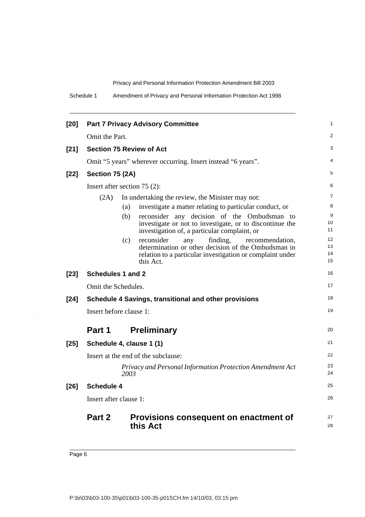Schedule 1 Amendment of Privacy and Personal Information Protection Act 1998

| [20]   |                        | <b>Part 7 Privacy Advisory Committee</b>                                                                                                                                                 | 1                    |
|--------|------------------------|------------------------------------------------------------------------------------------------------------------------------------------------------------------------------------------|----------------------|
|        | Omit the Part.         |                                                                                                                                                                                          | 2                    |
| $[21]$ |                        | <b>Section 75 Review of Act</b>                                                                                                                                                          | 3                    |
|        |                        | Omit "5 years" wherever occurring. Insert instead "6 years".                                                                                                                             | 4                    |
| $[22]$ | Section 75 (2A)        |                                                                                                                                                                                          | 5                    |
|        |                        | Insert after section $75(2)$ :                                                                                                                                                           | 6                    |
|        | (2A)                   | In undertaking the review, the Minister may not:                                                                                                                                         | 7                    |
|        |                        | investigate a matter relating to particular conduct, or<br>(a)                                                                                                                           | 8                    |
|        |                        | reconsider any decision of the Ombudsman to<br>(b)<br>investigate or not to investigate, or to discontinue the<br>investigation of, a particular complaint, or                           | 9<br>10<br>11        |
|        |                        | reconsider<br>finding,<br>(c)<br>any<br>recommendation,<br>determination or other decision of the Ombudsman in<br>relation to a particular investigation or complaint under<br>this Act. | 12<br>13<br>14<br>15 |
| $[23]$ | Schedules 1 and 2      |                                                                                                                                                                                          | 16                   |
|        | Omit the Schedules.    |                                                                                                                                                                                          | 17                   |
| $[24]$ |                        | Schedule 4 Savings, transitional and other provisions                                                                                                                                    | 18                   |
|        |                        | Insert before clause 1:                                                                                                                                                                  | 19                   |
|        | Part 1                 | <b>Preliminary</b>                                                                                                                                                                       | 20                   |
|        |                        |                                                                                                                                                                                          |                      |
| $[25]$ |                        | Schedule 4, clause 1 (1)                                                                                                                                                                 | 21                   |
|        |                        | Insert at the end of the subclause:                                                                                                                                                      | 22                   |
|        |                        | Privacy and Personal Information Protection Amendment Act<br>2003                                                                                                                        | 23<br>24             |
| $[26]$ | <b>Schedule 4</b>      |                                                                                                                                                                                          | 25                   |
|        | Insert after clause 1: |                                                                                                                                                                                          | 26                   |
|        | Part 2                 | Provisions consequent on enactment of<br>this Act                                                                                                                                        | 27<br>28             |

Page 6

 $\bar{z}$ 

 $\bar{z}$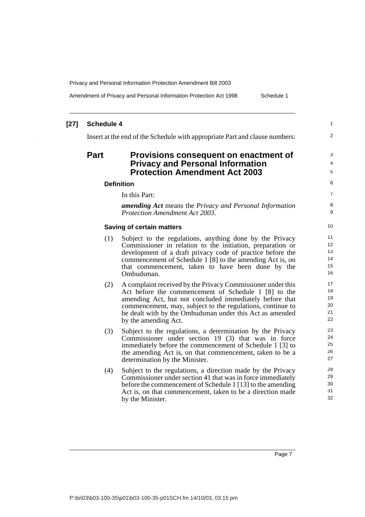Amendment of Privacy and Personal Information Protection Act 1998 Schedule 1

| <b>Schedule 4</b> |                                                                                                                                                                                                                                                                                                                                  |
|-------------------|----------------------------------------------------------------------------------------------------------------------------------------------------------------------------------------------------------------------------------------------------------------------------------------------------------------------------------|
|                   | Insert at the end of the Schedule with appropriate Part and clause numbers:                                                                                                                                                                                                                                                      |
| <b>Part</b>       | Provisions consequent on enactment of<br><b>Privacy and Personal Information</b><br><b>Protection Amendment Act 2003</b>                                                                                                                                                                                                         |
|                   | <b>Definition</b>                                                                                                                                                                                                                                                                                                                |
|                   | In this Part:                                                                                                                                                                                                                                                                                                                    |
|                   | <b>amending Act</b> means the Privacy and Personal Information<br><b>Protection Amendment Act 2003.</b>                                                                                                                                                                                                                          |
|                   | <b>Saving of certain matters</b>                                                                                                                                                                                                                                                                                                 |
| (1)               | Subject to the regulations, anything done by the Privacy<br>Commissioner in relation to the initiation, preparation or<br>development of a draft privacy code of practice before the<br>commencement of Schedule 1 [8] to the amending Act is, on<br>that commencement, taken to have been done by the<br>Ombudsman.             |
| (2)               | A complaint received by the Privacy Commissioner under this<br>Act before the commencement of Schedule 1 [8] to the<br>amending Act, but not concluded immediately before that<br>commencement, may, subject to the regulations, continue to<br>be dealt with by the Ombudsman under this Act as amended<br>by the amending Act. |
| (3)               | Subject to the regulations, a determination by the Privacy<br>Commissioner under section 19 (3) that was in force<br>immediately before the commencement of Schedule 1 [3] to<br>the amending Act is, on that commencement, taken to be a<br>determination by the Minister.                                                      |
| (4)               | Subject to the regulations, a direction made by the Privacy<br>Commissioner under section 41 that was in force immediately<br>before the commencement of Schedule 1 [13] to the amending<br>Act is, on that commencement, taken to be a direction made<br>by the Minister.                                                       |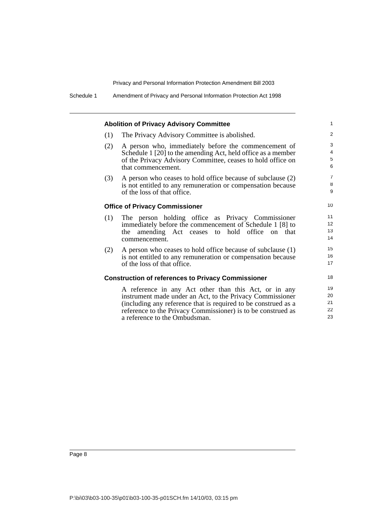| <b>Abolition of Privacy Advisory Committee</b>                 |                |
|----------------------------------------------------------------|----------------|
| The Privacy Advisory Committee is abolished.                   | $\overline{2}$ |
| A person who, immediately before the commencement of           | 3              |
| Schedule 1 [20] to the amending Act, held office as a member   | $\overline{4}$ |
| of the Privacy Advisory Committee, ceases to hold office on    | $\overline{5}$ |
| that commencement.                                             | 6              |
| A person who ceases to hold office because of subclause (2)    | $\overline{7}$ |
| is not entitled to any remuneration or compensation because    | $\,8\,$        |
| of the loss of that office.                                    | 9              |
| <b>Office of Privacy Commissioner</b>                          | 10             |
| The person holding office as Privacy Commissioner              | 11             |
| immediately before the commencement of Schedule 1 [8] to       | 12             |
| the amending Act ceases to hold office on that                 | 13             |
| commencement.                                                  | 14             |
| A person who ceases to hold office because of subclause (1)    | 15             |
| is not entitled to any remuneration or compensation because    | 16             |
| of the loss of that office.                                    | 17             |
| <b>Construction of references to Privacy Commissioner</b>      | 18             |
| A reference in any Act other than this Act, or in any          | 19             |
| instrument made under an Act, to the Privacy Commissioner      | 20             |
| (including any reference that is required to be construed as a | 21             |
| reference to the Privacy Commissioner) is to be construed as   | 22             |
| a reference to the Ombudsman.                                  | 23             |
|                                                                |                |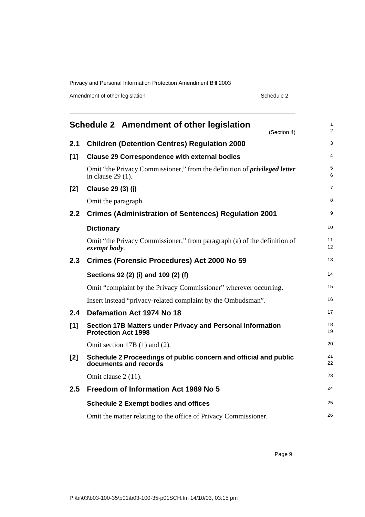Amendment of other legislation Schedule 2

<span id="page-14-0"></span>

|     | Schedule 2 Amendment of other legislation<br>(Section 4)                                                | $\mathbf{1}$<br>$\overline{2}$ |
|-----|---------------------------------------------------------------------------------------------------------|--------------------------------|
| 2.1 | <b>Children (Detention Centres) Regulation 2000</b>                                                     | 3                              |
| [1] | <b>Clause 29 Correspondence with external bodies</b>                                                    | 4                              |
|     | Omit "the Privacy Commissioner," from the definition of <i>privileged letter</i><br>in clause $29(1)$ . | 5<br>6                         |
| [2] | Clause 29 (3) (j)                                                                                       | $\overline{7}$                 |
|     | Omit the paragraph.                                                                                     | 8                              |
| 2.2 | <b>Crimes (Administration of Sentences) Regulation 2001</b>                                             | 9                              |
|     | <b>Dictionary</b>                                                                                       | 10                             |
|     | Omit "the Privacy Commissioner," from paragraph (a) of the definition of<br>exempt body.                | 11<br>12                       |
| 2.3 | Crimes (Forensic Procedures) Act 2000 No 59                                                             | 13                             |
|     | Sections 92 (2) (i) and 109 (2) (f)                                                                     | 14                             |
|     | Omit "complaint by the Privacy Commissioner" wherever occurring.                                        | 15                             |
|     | Insert instead "privacy-related complaint by the Ombudsman".                                            | 16                             |
| 2.4 | <b>Defamation Act 1974 No 18</b>                                                                        | 17                             |
| [1] | Section 17B Matters under Privacy and Personal Information<br><b>Protection Act 1998</b>                | 18<br>19                       |
|     | Omit section $17B(1)$ and $(2)$ .                                                                       | 20                             |
| [2] | Schedule 2 Proceedings of public concern and official and public<br>documents and records               | 21<br>22                       |
|     | Omit clause 2 (11).                                                                                     | 23                             |
| 2.5 | Freedom of Information Act 1989 No 5                                                                    | 24                             |
|     | <b>Schedule 2 Exempt bodies and offices</b>                                                             | 25                             |
|     | Omit the matter relating to the office of Privacy Commissioner.                                         | 26                             |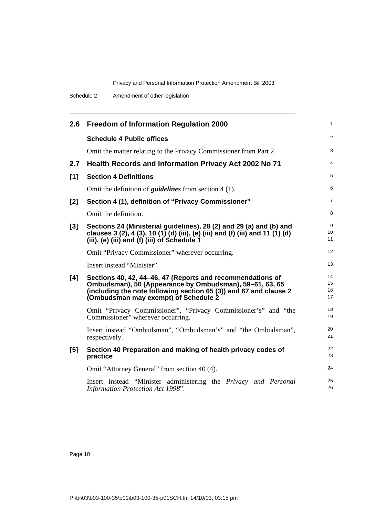| 2.6 <sup>°</sup> | <b>Freedom of Information Regulation 2000</b>                                                                                                                                                                                      | $\mathbf{1}$         |
|------------------|------------------------------------------------------------------------------------------------------------------------------------------------------------------------------------------------------------------------------------|----------------------|
|                  | <b>Schedule 4 Public offices</b>                                                                                                                                                                                                   | 2                    |
|                  | Omit the matter relating to the Privacy Commissioner from Part 2.                                                                                                                                                                  | 3                    |
| 2.7              | <b>Health Records and Information Privacy Act 2002 No 71</b>                                                                                                                                                                       | 4                    |
| [1]              | <b>Section 4 Definitions</b>                                                                                                                                                                                                       | $\overline{5}$       |
|                  | Omit the definition of <i>guidelines</i> from section $4(1)$ .                                                                                                                                                                     | 6                    |
| [2]              | Section 4 (1), definition of "Privacy Commissioner"                                                                                                                                                                                | $\overline{7}$       |
|                  | Omit the definition.                                                                                                                                                                                                               | 8                    |
| [3]              | Sections 24 (Ministerial guidelines), 28 (2) and 29 (a) and (b) and<br>clauses 3 (2), 4 (3), 10 (1) (d) (iii), (e) (iii) and (f) (iii) and 11 (1) (d)<br>(iii), (e) (iii) and (f) (iii) of Schedule $1$                            | 9<br>10<br>11        |
|                  | Omit "Privacy Commissioner" wherever occurring.                                                                                                                                                                                    | 12                   |
|                  | Insert instead "Minister".                                                                                                                                                                                                         | 13                   |
| [4]              | Sections 40, 42, 44-46, 47 (Reports and recommendations of<br>Ombudsman), 50 (Appearance by Ombudsman), 59–61, 63, 65<br>(including the note following section 65 (3)) and 67 and clause 2<br>(Ombudsman may exempt) of Schedule 2 | 14<br>15<br>16<br>17 |
|                  | Omit "Privacy Commissioner", "Privacy Commissioner's" and "the<br>Commissioner" wherever occurring.                                                                                                                                | 18<br>19             |
|                  | Insert instead "Ombudsman", "Ombudsman's" and "the Ombudsman",<br>respectively.                                                                                                                                                    | 20<br>21             |
| [5]              | Section 40 Preparation and making of health privacy codes of<br>practice                                                                                                                                                           | 22<br>23             |
|                  | Omit "Attorney General" from section 40 (4).                                                                                                                                                                                       | 24                   |
|                  | Insert instead "Minister administering the Privacy and Personal<br>Information Protection Act 1998".                                                                                                                               | 25<br>26             |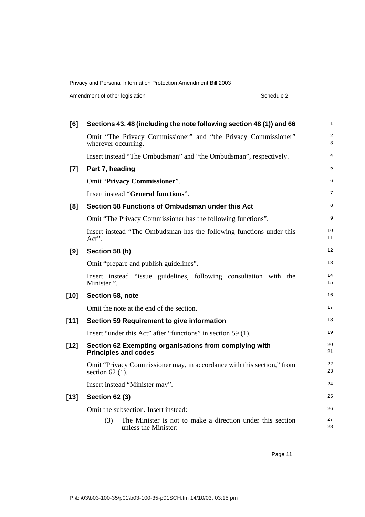Amendment of other legislation Schedule 2

| [6]    | Sections 43, 48 (including the note following section 48 (1)) and 66                         | $\mathbf{1}$        |
|--------|----------------------------------------------------------------------------------------------|---------------------|
|        | Omit "The Privacy Commissioner" and "the Privacy Commissioner"<br>wherever occurring.        | $\overline{2}$<br>3 |
|        | Insert instead "The Ombudsman" and "the Ombudsman", respectively.                            | 4                   |
| $[7]$  | Part 7, heading                                                                              | 5                   |
|        | Omit "Privacy Commissioner".                                                                 | 6                   |
|        | Insert instead "General functions".                                                          | $\overline{7}$      |
| [8]    | Section 58 Functions of Ombudsman under this Act                                             | 8                   |
|        | Omit "The Privacy Commissioner has the following functions".                                 | 9                   |
|        | Insert instead "The Ombudsman has the following functions under this<br>Act".                | 10<br>11            |
| [9]    | Section 58 (b)                                                                               | 12 <sup>2</sup>     |
|        | Omit "prepare and publish guidelines".                                                       | 13                  |
|        | Insert instead "issue guidelines, following consultation with the<br>Minister,".             | 14<br>15            |
| $[10]$ | Section 58, note                                                                             | 16                  |
|        | Omit the note at the end of the section.                                                     | 17                  |
| $[11]$ | Section 59 Requirement to give information                                                   | 18                  |
|        | Insert "under this Act" after "functions" in section 59 (1).                                 | 19                  |
| $[12]$ | Section 62 Exempting organisations from complying with<br><b>Principles and codes</b>        | 20<br>21            |
|        | Omit "Privacy Commissioner may, in accordance with this section," from<br>section 62 $(1)$ . | 22<br>23            |
|        | Insert instead "Minister may".                                                               | 24                  |
| $[13]$ | <b>Section 62 (3)</b>                                                                        | 25                  |
|        | Omit the subsection. Insert instead:                                                         | 26                  |
|        | (3)<br>The Minister is not to make a direction under this section<br>unless the Minister:    | 27<br>28            |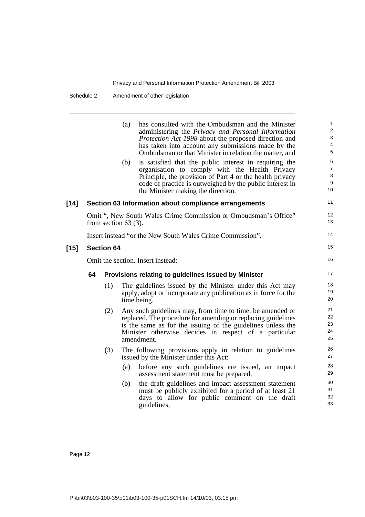|        |                                   |                   | has consulted with the Ombudsman and the Minister<br>(a)<br>administering the Privacy and Personal Information<br><i>Protection Act 1998</i> about the proposed direction and<br>has taken into account any submissions made by the<br>Ombudsman or that Minister in relation the matter, and | $\mathbf{1}$<br>$\overline{\mathbf{c}}$<br>3<br>4<br>5 |
|--------|-----------------------------------|-------------------|-----------------------------------------------------------------------------------------------------------------------------------------------------------------------------------------------------------------------------------------------------------------------------------------------|--------------------------------------------------------|
|        |                                   |                   | is satisfied that the public interest in requiring the<br>(b)<br>organisation to comply with the Health Privacy<br>Principle, the provision of Part 4 or the health privacy<br>code of practice is outweighed by the public interest in<br>the Minister making the direction.                 | 6<br>7<br>8<br>9<br>10                                 |
| $[14]$ |                                   |                   | Section 63 Information about compliance arrangements                                                                                                                                                                                                                                          | 11                                                     |
|        |                                   |                   | Omit ", New South Wales Crime Commission or Ombudsman's Office"<br>from section $63$ (3).                                                                                                                                                                                                     | 12<br>13                                               |
|        |                                   |                   | Insert instead "or the New South Wales Crime Commission".                                                                                                                                                                                                                                     | 14                                                     |
| [15]   |                                   | <b>Section 64</b> |                                                                                                                                                                                                                                                                                               | 15                                                     |
|        | Omit the section. Insert instead: |                   |                                                                                                                                                                                                                                                                                               | 16                                                     |
|        | 64                                |                   | Provisions relating to guidelines issued by Minister                                                                                                                                                                                                                                          | 17                                                     |
|        |                                   | (1)               | The guidelines issued by the Minister under this Act may<br>apply, adopt or incorporate any publication as in force for the<br>time being.                                                                                                                                                    | 18<br>19<br>20                                         |
|        |                                   | (2)               | Any such guidelines may, from time to time, be amended or<br>replaced. The procedure for amending or replacing guidelines<br>is the same as for the issuing of the guidelines unless the<br>Minister otherwise decides in respect of a particular<br>amendment.                               | 21<br>22<br>23<br>24<br>25                             |
|        |                                   | (3)               | The following provisions apply in relation to guidelines<br>issued by the Minister under this Act:                                                                                                                                                                                            | 26<br>27                                               |
|        |                                   |                   | before any such guidelines are issued, an impact<br>(a)<br>assessment statement must be prepared,                                                                                                                                                                                             | 28<br>29                                               |
|        |                                   |                   | the draft guidelines and impact assessment statement<br>(b)<br>must be publicly exhibited for a period of at least 21<br>days to allow for public comment on the draft<br>guidelines,                                                                                                         | 30<br>31<br>32<br>33                                   |

 $[15]$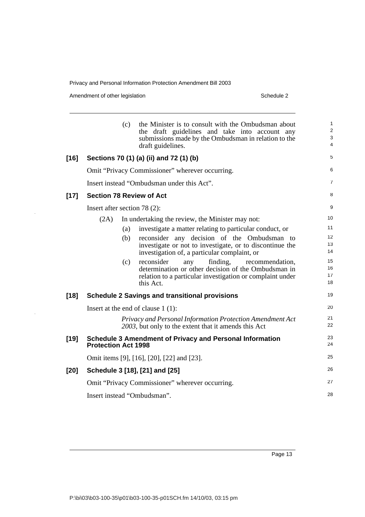Amendment of other legislation Schedule 2

÷,

 $\hat{\boldsymbol{\tau}}$ 

|        |                                                 | (c) | the Minister is to consult with the Ombudsman about<br>the draft guidelines and take into account any<br>submissions made by the Ombudsman in relation to the<br>draft guidelines. | 1<br>$\overline{2}$<br>3<br>4 |  |
|--------|-------------------------------------------------|-----|------------------------------------------------------------------------------------------------------------------------------------------------------------------------------------|-------------------------------|--|
| $[16]$ |                                                 |     | Sections 70 (1) (a) (ii) and 72 (1) (b)                                                                                                                                            | 5                             |  |
|        |                                                 |     | Omit "Privacy Commissioner" wherever occurring.                                                                                                                                    | 6                             |  |
|        | Insert instead "Ombudsman under this Act".      |     |                                                                                                                                                                                    |                               |  |
| $[17]$ | <b>Section 78 Review of Act</b>                 |     |                                                                                                                                                                                    |                               |  |
|        | Insert after section 78 (2):                    |     |                                                                                                                                                                                    |                               |  |
|        | (2A)                                            |     | In undertaking the review, the Minister may not:                                                                                                                                   |                               |  |
|        |                                                 | (a) | investigate a matter relating to particular conduct, or                                                                                                                            | 11                            |  |
|        |                                                 | (b) | reconsider any decision of the Ombudsman to                                                                                                                                        | 12                            |  |
|        |                                                 |     | investigate or not to investigate, or to discontinue the<br>investigation of, a particular complaint, or                                                                           | 13<br>14                      |  |
|        |                                                 | (c) | reconsider<br>finding,<br>recommendation,<br>any                                                                                                                                   | 15                            |  |
|        |                                                 |     | determination or other decision of the Ombudsman in                                                                                                                                | 16<br>17                      |  |
|        |                                                 |     | relation to a particular investigation or complaint under<br>this Act.                                                                                                             | 18                            |  |
| $[18]$ |                                                 |     | <b>Schedule 2 Savings and transitional provisions</b>                                                                                                                              | 19                            |  |
|        | Insert at the end of clause $1(1)$ :            |     |                                                                                                                                                                                    |                               |  |
|        |                                                 |     | Privacy and Personal Information Protection Amendment Act<br>2003, but only to the extent that it amends this Act                                                                  | 21<br>22                      |  |
| $[19]$ | <b>Protection Act 1998</b>                      |     | <b>Schedule 3 Amendment of Privacy and Personal Information</b>                                                                                                                    | 23<br>24                      |  |
|        | Omit items [9], [16], [20], [22] and [23].      |     |                                                                                                                                                                                    |                               |  |
| $[20]$ | Schedule 3 [18], [21] and [25]                  |     |                                                                                                                                                                                    |                               |  |
|        | Omit "Privacy Commissioner" wherever occurring. |     |                                                                                                                                                                                    |                               |  |
|        | Insert instead "Ombudsman".                     |     |                                                                                                                                                                                    |                               |  |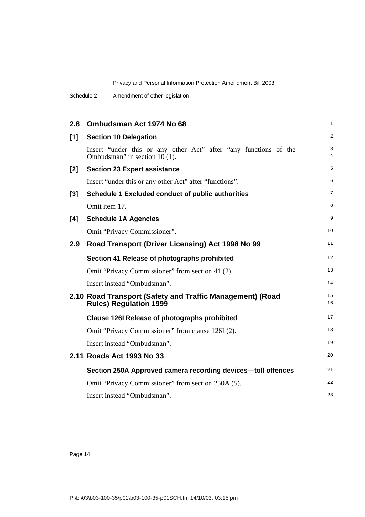| 2.8              | Ombudsman Act 1974 No 68                                                                         | 1              |
|------------------|--------------------------------------------------------------------------------------------------|----------------|
| [1]              | <b>Section 10 Delegation</b>                                                                     | $\overline{2}$ |
|                  | Insert "under this or any other Act" after "any functions of the<br>Ombudsman" in section 10(1). | 3<br>4         |
| [2]              | <b>Section 23 Expert assistance</b>                                                              | 5              |
|                  | Insert "under this or any other Act" after "functions".                                          | 6              |
| $\left[3\right]$ | Schedule 1 Excluded conduct of public authorities                                                | 7              |
|                  | Omit item 17.                                                                                    | 8              |
| [4]              | <b>Schedule 1A Agencies</b>                                                                      | 9              |
|                  | Omit "Privacy Commissioner".                                                                     | 10             |
| 2.9              | Road Transport (Driver Licensing) Act 1998 No 99                                                 | 11             |
|                  | Section 41 Release of photographs prohibited                                                     | 12             |
|                  | Omit "Privacy Commissioner" from section 41 (2).                                                 | 13             |
|                  | Insert instead "Ombudsman".                                                                      | 14             |
|                  | 2.10 Road Transport (Safety and Traffic Management) (Road<br><b>Rules) Regulation 1999</b>       | 15<br>16       |
|                  | <b>Clause 126I Release of photographs prohibited</b>                                             | 17             |
|                  | Omit "Privacy Commissioner" from clause 126I (2).                                                | 18             |
|                  | Insert instead "Ombudsman".                                                                      | 19             |
|                  | 2.11 Roads Act 1993 No 33                                                                        | 20             |
|                  | Section 250A Approved camera recording devices-toll offences                                     | 21             |
|                  | Omit "Privacy Commissioner" from section 250A (5).                                               | 22             |
|                  | Insert instead "Ombudsman".                                                                      | 23             |